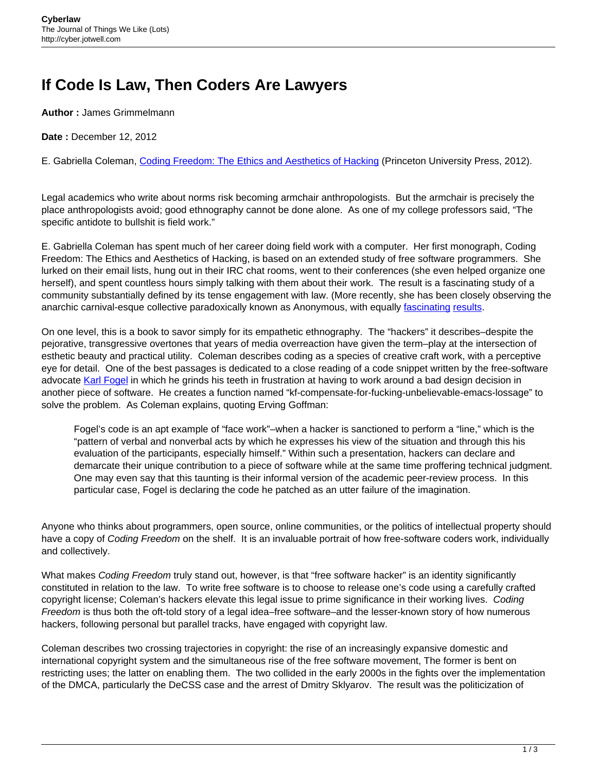## **If Code Is Law, Then Coders Are Lawyers**

**Author :** James Grimmelmann

**Date :** December 12, 2012

E. Gabriella Coleman, [Coding Freedom: The Ethics and Aesthetics of Hacking](http://books.google.com/books?id=YAls7CTGC8EC&printsec=frontcover#v=onepage&q&f=false) (Princeton University Press, 2012).

Legal academics who write about norms risk becoming armchair anthropologists. But the armchair is precisely the place anthropologists avoid; good ethnography cannot be done alone. As one of my college professors said, "The specific antidote to bullshit is field work."

E. Gabriella Coleman has spent much of her career doing field work with a computer. Her first monograph, Coding Freedom: The Ethics and Aesthetics of Hacking, is based on an extended study of free software programmers. She lurked on their email lists, hung out in their IRC chat rooms, went to their conferences (she even helped organize one herself), and spent countless hours simply talking with them about their work. The result is a fascinating study of a community substantially defined by its tense engagement with law. (More recently, she has been closely observing the anarchic carnival-esque collective paradoxically known as Anonymous, with equally [fascinating](http://mediacommons.futureofthebook.org/tne/pieces/anonymous-lulz-collective-action) [results](http://canopycanopycanopy.com/15/our_weirdness_is_free).

On one level, this is a book to savor simply for its empathetic ethnography. The "hackers" it describes–despite the pejorative, transgressive overtones that years of media overreaction have given the term–play at the intersection of esthetic beauty and practical utility. Coleman describes coding as a species of creative craft work, with a perceptive eye for detail. One of the best passages is dedicated to a close reading of a code snippet written by the free-software advocate [Karl Fogel](http://www.red bean.com/kfogel/) in which he grinds his teeth in frustration at having to work around a bad design decision in another piece of software. He creates a function named "kf-compensate-for-fucking-unbelievable-emacs-lossage" to solve the problem. As Coleman explains, quoting Erving Goffman:

Fogel's code is an apt example of "face work"–when a hacker is sanctioned to perform a "line," which is the "pattern of verbal and nonverbal acts by which he expresses his view of the situation and through this his evaluation of the participants, especially himself." Within such a presentation, hackers can declare and demarcate their unique contribution to a piece of software while at the same time proffering technical judgment. One may even say that this taunting is their informal version of the academic peer-review process. In this particular case, Fogel is declaring the code he patched as an utter failure of the imagination.

Anyone who thinks about programmers, open source, online communities, or the politics of intellectual property should have a copy of Coding Freedom on the shelf. It is an invaluable portrait of how free-software coders work, individually and collectively.

What makes Coding Freedom truly stand out, however, is that "free software hacker" is an identity significantly constituted in relation to the law. To write free software is to choose to release one's code using a carefully crafted copyright license; Coleman's hackers elevate this legal issue to prime significance in their working lives. Coding Freedom is thus both the oft-told story of a legal idea–free software–and the lesser-known story of how numerous hackers, following personal but parallel tracks, have engaged with copyright law.

Coleman describes two crossing trajectories in copyright: the rise of an increasingly expansive domestic and international copyright system and the simultaneous rise of the free software movement, The former is bent on restricting uses; the latter on enabling them. The two collided in the early 2000s in the fights over the implementation of the DMCA, particularly the DeCSS case and the arrest of Dmitry Sklyarov. The result was the politicization of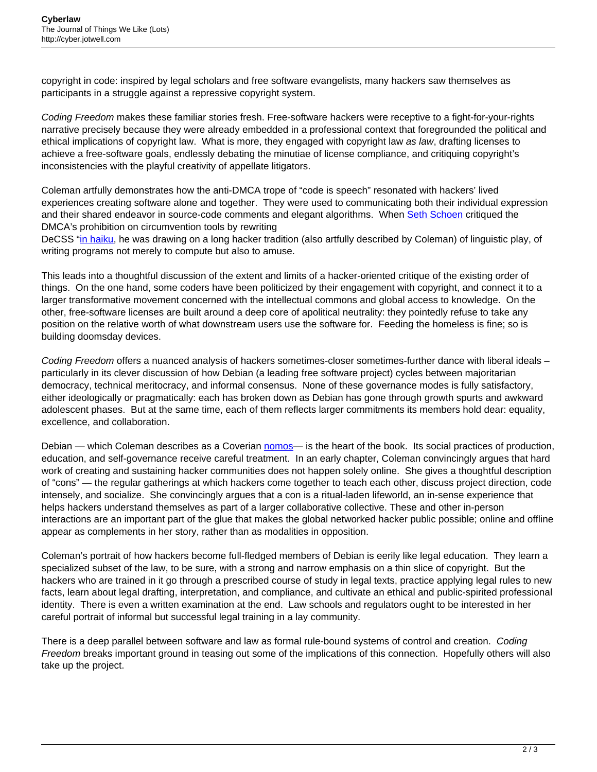copyright in code: inspired by legal scholars and free software evangelists, many hackers saw themselves as participants in a struggle against a repressive copyright system.

Coding Freedom makes these familiar stories fresh. Free-software hackers were receptive to a fight-for-your-rights narrative precisely because they were already embedded in a professional context that foregrounded the political and ethical implications of copyright law. What is more, they engaged with copyright law as law, drafting licenses to achieve a free-software goals, endlessly debating the minutiae of license compliance, and critiquing copyright's inconsistencies with the playful creativity of appellate litigators.

Coleman artfully demonstrates how the anti-DMCA trope of "code is speech" resonated with hackers' lived experiences creating software alone and together. They were used to communicating both their individual expression and their shared endeavor in source-code comments and elegant algorithms. When [Seth Schoen](http://en.wikipedia.org/wiki/Seth_Schoen) critiqued the DMCA's prohibition on circumvention tools by rewriting

DeCSS "[in haiku](http://www.cs.cmu.edu/~dst/DeCSS/Gallery/decss-haiku.txt), he was drawing on a long hacker tradition (also artfully described by Coleman) of linguistic play, of writing programs not merely to compute but also to amuse.

This leads into a thoughtful discussion of the extent and limits of a hacker-oriented critique of the existing order of things. On the one hand, some coders have been politicized by their engagement with copyright, and connect it to a larger transformative movement concerned with the intellectual commons and global access to knowledge. On the other, free-software licenses are built around a deep core of apolitical neutrality: they pointedly refuse to take any position on the relative worth of what downstream users use the software for. Feeding the homeless is fine; so is building doomsday devices.

Coding Freedom offers a nuanced analysis of hackers sometimes-closer sometimes-further dance with liberal ideals – particularly in its clever discussion of how Debian (a leading free software project) cycles between majoritarian democracy, technical meritocracy, and informal consensus. None of these governance modes is fully satisfactory, either ideologically or pragmatically: each has broken down as Debian has gone through growth spurts and awkward adolescent phases. But at the same time, each of them reflects larger commitments its members hold dear: equality, excellence, and collaboration.

Debian — which Coleman describes as a Coverian [nomos—](http://digitalcommons.law.yale.edu/cgi/viewcontent.cgi?article=3690&context=fss_papers) is the heart of the book. Its social practices of production, education, and self-governance receive careful treatment. In an early chapter, Coleman convincingly argues that hard work of creating and sustaining hacker communities does not happen solely online. She gives a thoughtful description of "cons" — the regular gatherings at which hackers come together to teach each other, discuss project direction, code intensely, and socialize. She convincingly argues that a con is a ritual-laden lifeworld, an in-sense experience that helps hackers understand themselves as part of a larger collaborative collective. These and other in-person interactions are an important part of the glue that makes the global networked hacker public possible; online and offline appear as complements in her story, rather than as modalities in opposition.

Coleman's portrait of how hackers become full-fledged members of Debian is eerily like legal education. They learn a specialized subset of the law, to be sure, with a strong and narrow emphasis on a thin slice of copyright. But the hackers who are trained in it go through a prescribed course of study in legal texts, practice applying legal rules to new facts, learn about legal drafting, interpretation, and compliance, and cultivate an ethical and public-spirited professional identity. There is even a written examination at the end. Law schools and regulators ought to be interested in her careful portrait of informal but successful legal training in a lay community.

There is a deep parallel between software and law as formal rule-bound systems of control and creation. Coding Freedom breaks important ground in teasing out some of the implications of this connection. Hopefully others will also take up the project.